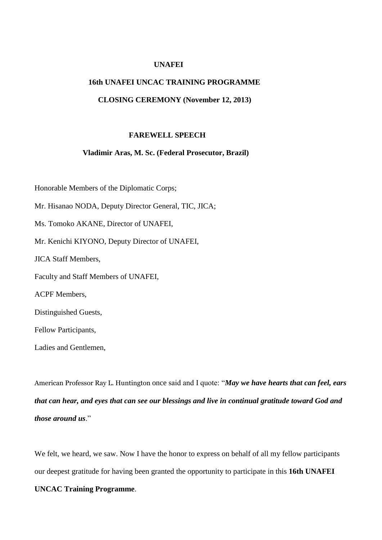#### **UNAFEI**

# **16th UNAFEI UNCAC TRAINING PROGRAMME**

## **CLOSING CEREMONY (November 12, 2013)**

#### **FAREWELL SPEECH**

#### **Vladimir Aras, M. Sc. (Federal Prosecutor, Brazil)**

Honorable Members of the Diplomatic Corps; Mr. Hisanao NODA, Deputy Director General, TIC, JICA; Ms. Tomoko AKANE, Director of UNAFEI, Mr. Kenichi KIYONO, Deputy Director of UNAFEI, JICA Staff Members, Faculty and Staff Members of UNAFEI, ACPF Members, Distinguished Guests, Fellow Participants, Ladies and Gentlemen,

American Professor Ray L. Huntington once said and I quote: "*May we have hearts that can feel, ears that can hear, and eyes that can see our blessings and live in continual gratitude toward God and those around us*."

We felt, we heard, we saw. Now I have the honor to express on behalf of all my fellow participants our deepest gratitude for having been granted the opportunity to participate in this **16th UNAFEI** 

## **UNCAC Training Programme**.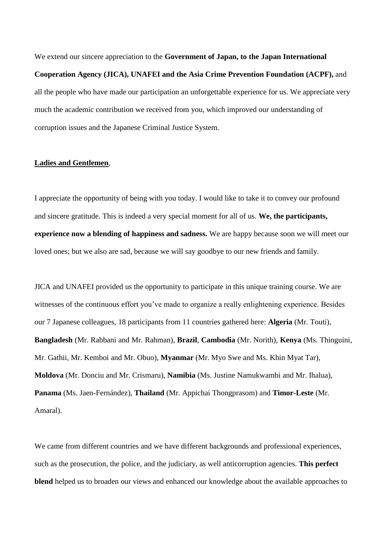We extend our sincere appreciation to the **Government of Japan, to the Japan International Cooperation Agency (JICA), UNAFEI and the Asia Crime Prevention Foundation (ACPF),** and all the people who have made our participation an unforgettable experience for us. We appreciate very much the academic contribution we received from you, which improved our understanding of corruption issues and the Japanese Criminal Justice System.

#### **Ladies and Gentlemen**,

I appreciate the opportunity of being with you today. I would like to take it to convey our profound and sincere gratitude. This is indeed a very special moment for all of us. **We, the participants, experience now a blending of happiness and sadness.** We are happy because soon we will meet our loved ones; but we also are sad, because we will say goodbye to our new friends and family.

JICA and UNAFEI provided us the opportunity to participate in this unique training course. We are witnesses of the continuous effort you've made to organize a really enlightening experience. Besides our 7 Japanese colleagues, 18 participants from 11 countries gathered here: **Algeria** (Mr. Touti), **Bangladesh** (Mr. Rabbani and Mr. Rahman), **Brazil**, **Cambodia** (Mr. Norith), **Kenya** (Ms. Thinguini, Mr. Gathii, Mr. Kemboi and Mr. Obuo), **Myanmar** (Mr. Myo Swe and Ms. Khin Myat Tar), **Moldova** (Mr. Donciu and Mr. Crismaru), **Namibia** (Ms. Justine Namukwambi and Mr. Ihalua), **Panama** (Ms. Jaen-Fernández), **Thailand** (Mr. Appichai Thongprasom) and **Timor-Leste** (Mr. Amaral).

We came from different countries and we have different backgrounds and professional experiences, such as the prosecution, the police, and the judiciary, as well anticorruption agencies. **This perfect blend** helped us to broaden our views and enhanced our knowledge about the available approaches to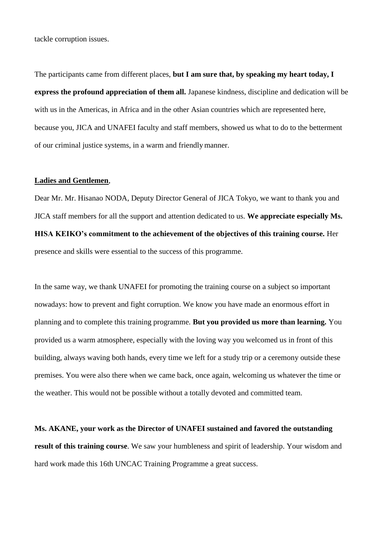tackle corruption issues.

The participants came from different places, **but I am sure that, by speaking my heart today, I express the profound appreciation of them all.** Japanese kindness, discipline and dedication will be with us in the Americas, in Africa and in the other Asian countries which are represented here, because you, JICA and UNAFEI faculty and staff members, showed us what to do to the betterment of our criminal justice systems, in a warm and friendlymanner.

## **Ladies and Gentlemen**,

Dear Mr. Mr. Hisanao NODA, Deputy Director General of JICA Tokyo, we want to thank you and JICA staff members for all the support and attention dedicated to us. **We appreciate especially Ms. HISA KEIKO's commitment to the achievement of the objectives of this training course.** Her presence and skills were essential to the success of this programme.

In the same way, we thank UNAFEI for promoting the training course on a subject so important nowadays: how to prevent and fight corruption. We know you have made an enormous effort in planning and to complete this training programme. **But you provided us more than learning.** You provided us a warm atmosphere, especially with the loving way you welcomed us in front of this building, always waving both hands, every time we left for a study trip or a ceremony outside these premises. You were also there when we came back, once again, welcoming us whatever the time or the weather. This would not be possible without a totally devoted and committed team.

**Ms. AKANE, your work as the Director of UNAFEI sustained and favored the outstanding result of this training course**. We saw your humbleness and spirit of leadership. Your wisdom and hard work made this 16th UNCAC Training Programme a great success.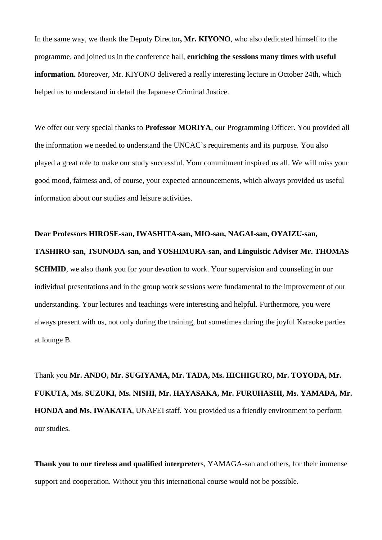In the same way, we thank the Deputy Director**, Mr. KIYONO**, who also dedicated himself to the programme, and joined us in the conference hall, **enriching the sessions many times with useful information.** Moreover, Mr. KIYONO delivered a really interesting lecture in October 24th, which helped us to understand in detail the Japanese Criminal Justice.

We offer our very special thanks to **Professor MORIYA**, our Programming Officer. You provided all the information we needed to understand the UNCAC's requirements and its purpose. You also played a great role to make our study successful. Your commitment inspired us all. We will miss your good mood, fairness and, of course, your expected announcements, which always provided us useful information about our studies and leisure activities.

**Dear Professors HIROSE-san, IWASHITA-san, MIO-san, NAGAI-san, OYAIZU-san, TASHIRO-san, TSUNODA-san, and YOSHIMURA-san, and Linguistic Adviser Mr. THOMAS SCHMID**, we also thank you for your devotion to work. Your supervision and counseling in our individual presentations and in the group work sessions were fundamental to the improvement of our understanding. Your lectures and teachings were interesting and helpful. Furthermore, you were always present with us, not only during the training, but sometimes during the joyful Karaoke parties at lounge B.

Thank you **Mr. ANDO, Mr. SUGIYAMA, Mr. TADA, Ms. HICHIGURO, Mr. TOYODA, Mr. FUKUTA, Ms. SUZUKI, Ms. NISHI, Mr. HAYASAKA, Mr. FURUHASHI, Ms. YAMADA, Mr. HONDA and Ms. IWAKATA**, UNAFEI staff. You provided us a friendly environment to perform our studies.

**Thank you to our tireless and qualified interpreter**s, YAMAGA-san and others, for their immense support and cooperation. Without you this international course would not be possible.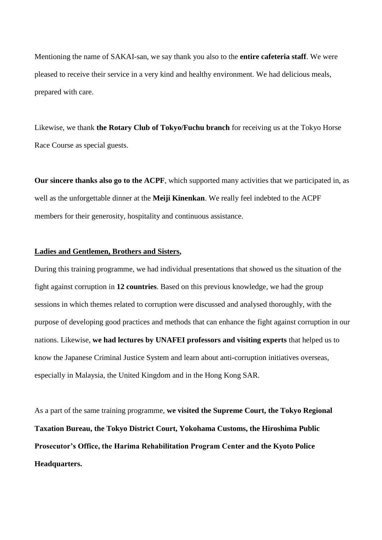Mentioning the name of SAKAI-san, we say thank you also to the **entire cafeteria staff**. We were pleased to receive their service in a very kind and healthy environment. We had delicious meals, prepared with care.

Likewise, we thank **the Rotary Club of Tokyo/Fuchu branch** for receiving us at the Tokyo Horse Race Course as special guests.

**Our sincere thanks also go to the ACPF**, which supported many activities that we participated in, as well as the unforgettable dinner at the **Meiji Kinenkan**. We really feel indebted to the ACPF members for their generosity, hospitality and continuous assistance.

## **Ladies and Gentlemen, Brothers and Sisters,**

During this training programme, we had individual presentations that showed us the situation of the fight against corruption in **12 countries**. Based on this previous knowledge, we had the group sessions in which themes related to corruption were discussed and analysed thoroughly, with the purpose of developing good practices and methods that can enhance the fight against corruption in our nations. Likewise, **we had lectures by UNAFEI professors and visiting experts** that helped us to know the Japanese Criminal Justice System and learn about anti-corruption initiatives overseas, especially in Malaysia, the United Kingdom and in the Hong Kong SAR.

As a part of the same training programme, **we visited the Supreme Court, the Tokyo Regional Taxation Bureau, the Tokyo District Court, Yokohama Customs, the Hiroshima Public Prosecutor's Office, the Harima Rehabilitation Program Center and the Kyoto Police Headquarters.**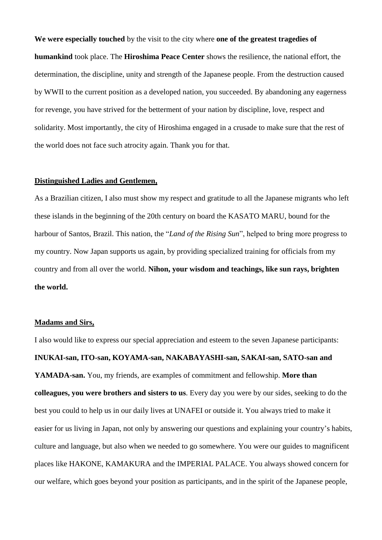**We were especially touched** by the visit to the city where **one of the greatest tragedies of humankind** took place. The **Hiroshima Peace Center** shows the resilience, the national effort, the determination, the discipline, unity and strength of the Japanese people. From the destruction caused by WWII to the current position as a developed nation, you succeeded. By abandoning any eagerness for revenge, you have strived for the betterment of your nation by discipline, love, respect and solidarity. Most importantly, the city of Hiroshima engaged in a crusade to make sure that the rest of the world does not face such atrocity again. Thank you for that.

#### **Distinguished Ladies and Gentlemen,**

As a Brazilian citizen, I also must show my respect and gratitude to all the Japanese migrants who left these islands in the beginning of the 20th century on board the KASATO MARU, bound for the harbour of Santos, Brazil. This nation, the "*Land of the Rising Sun*", helped to bring more progress to my country. Now Japan supports us again, by providing specialized training for officials from my country and from all over the world. **Nihon, your wisdom and teachings, like sun rays, brighten the world.**

## **Madams and Sirs,**

I also would like to express our special appreciation and esteem to the seven Japanese participants: **INUKAI-san, ITO-san, KOYAMA-san, NAKABAYASHI-san, SAKAI-san, SATO-san and YAMADA-san.** You, my friends, are examples of commitment and fellowship. **More than colleagues, you were brothers and sisters to us**. Every day you were by our sides, seeking to do the best you could to help us in our daily lives at UNAFEI or outside it. You always tried to make it easier for us living in Japan, not only by answering our questions and explaining your country's habits, culture and language, but also when we needed to go somewhere. You were our guides to magnificent places like HAKONE, KAMAKURA and the IMPERIAL PALACE. You always showed concern for our welfare, which goes beyond your position as participants, and in the spirit of the Japanese people,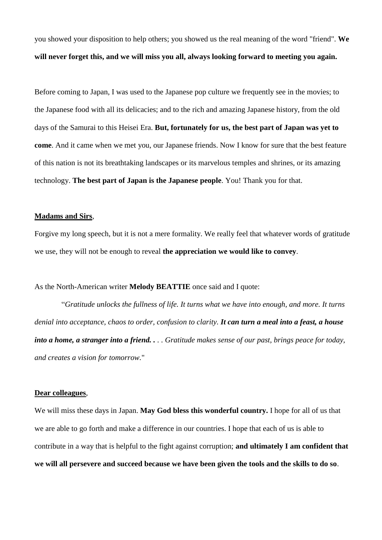you showed your disposition to help others; you showed us the real meaning of the word "friend". **We will never forget this, and we will miss you all, always looking forward to meeting you again.**

Before coming to Japan, I was used to the Japanese pop culture we frequently see in the movies; to the Japanese food with all its delicacies; and to the rich and amazing Japanese history, from the old days of the Samurai to this Heisei Era. **But, fortunately for us, the best part of Japan was yet to come**. And it came when we met you, our Japanese friends. Now I know for sure that the best feature of this nation is not its breathtaking landscapes or its marvelous temples and shrines, or its amazing technology. **The best part of Japan is the Japanese people**. You! Thank you for that.

#### **Madams and Sirs**,

Forgive my long speech, but it is not a mere formality. We really feel that whatever words of gratitude we use, they will not be enough to reveal **the appreciation we would like to convey**.

As the North-American writer **Melody BEATTIE** once said and I quote:

 "*Gratitude unlocks the fullness of life. It turns what we have into enough, and more. It turns denial into acceptance, chaos to order, confusion to clarity. It can turn a meal into a feast, a house into a home, a stranger into a friend. . . . Gratitude makes sense of our past, brings peace for today, and creates a vision for tomorrow.*"

## **Dear colleagues**,

We will miss these days in Japan. **May God bless this wonderful country.** I hope for all of us that we are able to go forth and make a difference in our countries. I hope that each of us is able to contribute in a way that is helpful to the fight against corruption; **and ultimately I am confident that we will all persevere and succeed because we have been given the tools and the skills to do so**.